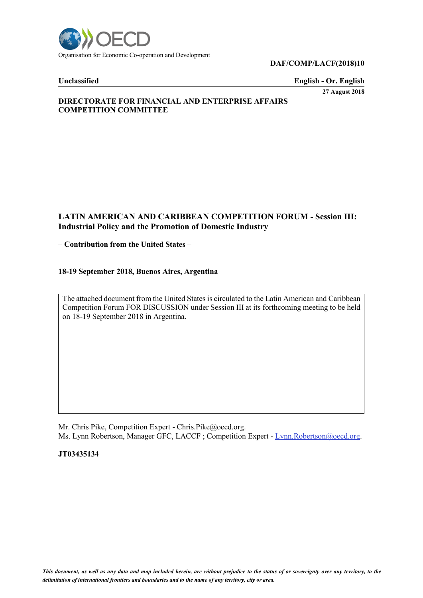

#### **DAF/COMP/LACF(2018)10**

**Unclassified English - Or. English**

**27 August 2018**

# **DIRECTORATE FOR FINANCIAL AND ENTERPRISE AFFAIRS COMPETITION COMMITTEE**

# **LATIN AMERICAN AND CARIBBEAN COMPETITION FORUM - Session III: Industrial Policy and the Promotion of Domestic Industry**

## **– Contribution from the United States –**

## **18-19 September 2018, Buenos Aires, Argentina**

The attached document from the United States is circulated to the Latin American and Caribbean Competition Forum FOR DISCUSSION under Session III at its forthcoming meeting to be held on 18-19 September 2018 in Argentina.

Mr. Chris Pike, Competition Expert - Chris.Pike@oecd.org. Ms. Lynn Robertson, Manager GFC, LACCF; Competition Expert - [Lynn.Robertson@oecd.org.](mailto:Lynn.Robertson@oecd.org)

**JT03435134**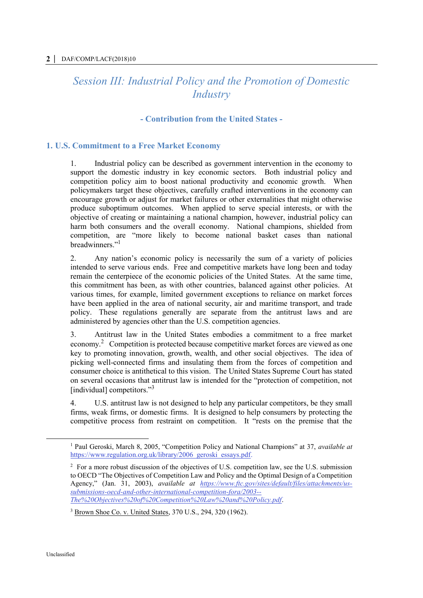# *Session III: Industrial Policy and the Promotion of Domestic Industry*

# **- Contribution from the United States -**

# **1. U.S. Commitment to a Free Market Economy**

1. Industrial policy can be described as government intervention in the economy to support the domestic industry in key economic sectors. Both industrial policy and competition policy aim to boost national productivity and economic growth. When policymakers target these objectives, carefully crafted interventions in the economy can encourage growth or adjust for market failures or other externalities that might otherwise produce suboptimum outcomes. When applied to serve special interests, or with the objective of creating or maintaining a national champion, however, industrial policy can harm both consumers and the overall economy. National champions, shielded from competition, are "more likely to become national basket cases than national breadwinners."<sup>1</sup>

2. Any nation's economic policy is necessarily the sum of a variety of policies intended to serve various ends. Free and competitive markets have long been and today remain the centerpiece of the economic policies of the United States. At the same time, this commitment has been, as with other countries, balanced against other policies. At various times, for example, limited government exceptions to reliance on market forces have been applied in the area of national security, air and maritime transport, and trade policy. These regulations generally are separate from the antitrust laws and are administered by agencies other than the U.S. competition agencies.

3. Antitrust law in the United States embodies a commitment to a free market economy.<sup>2</sup> Competition is protected because competitive market forces are viewed as one key to promoting innovation, growth, wealth, and other social objectives. The idea of picking well-connected firms and insulating them from the forces of competition and consumer choice is antithetical to this vision. The United States Supreme Court has stated on several occasions that antitrust law is intended for the "protection of competition, not [individual] competitors."<sup>3</sup>

4. U.S. antitrust law is not designed to help any particular competitors, be they small firms, weak firms, or domestic firms. It is designed to help consumers by protecting the competitive process from restraint on competition. It "rests on the premise that the

<sup>1</sup> Paul Geroski, March 8, 2005, "Competition Policy and National Champions" at 37, *available at* [https://www.regulation.org.uk/library/2006\\_geroski\\_essays.pdf.](https://www.regulation.org.uk/library/2006_geroski_essays.pdf)

<sup>&</sup>lt;sup>2</sup> For a more robust discussion of the objectives of U.S. competition law, see the U.S. submission to OECD "The Objectives of Competition Law and Policy and the Optimal Design of a Competition Agency," (Jan. 31, 2003), *available at [https://www.ftc.gov/sites/default/files/attachments/us](https://www.ftc.gov/sites/default/files/attachments/us-submissions-oecd-and-other-international-competition-fora/2003--The%20Objectives%20of%20Competition%20Law%20and%20Policy.pdf)[submissions-oecd-and-other-international-competition-fora/2003--](https://www.ftc.gov/sites/default/files/attachments/us-submissions-oecd-and-other-international-competition-fora/2003--The%20Objectives%20of%20Competition%20Law%20and%20Policy.pdf) [The%20Objectives%20of%20Competition%20Law%20and%20Policy.pdf](https://www.ftc.gov/sites/default/files/attachments/us-submissions-oecd-and-other-international-competition-fora/2003--The%20Objectives%20of%20Competition%20Law%20and%20Policy.pdf)*.

<sup>3</sup> Brown Shoe Co. v. United States, 370 U.S., 294, 320 (1962).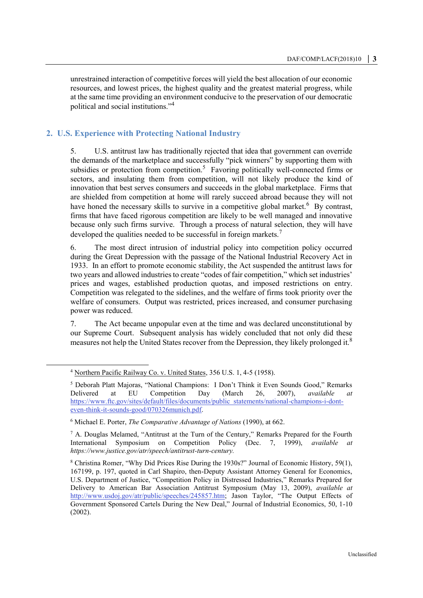unrestrained interaction of competitive forces will yield the best allocation of our economic resources, and lowest prices, the highest quality and the greatest material progress, while at the same time providing an environment conducive to the preservation of our democratic political and social institutions."<sup>4</sup>

# **2. U.S. Experience with Protecting National Industry**

5. U.S. antitrust law has traditionally rejected that idea that government can override the demands of the marketplace and successfully "pick winners" by supporting them with subsidies or protection from competition.<sup>5</sup> Favoring politically well-connected firms or sectors, and insulating them from competition, will not likely produce the kind of innovation that best serves consumers and succeeds in the global marketplace. Firms that are shielded from competition at home will rarely succeed abroad because they will not have honed the necessary skills to survive in a competitive global market.<sup>6</sup> By contrast, firms that have faced rigorous competition are likely to be well managed and innovative because only such firms survive. Through a process of natural selection, they will have developed the qualities needed to be successful in foreign markets.<sup>7</sup>

6. The most direct intrusion of industrial policy into competition policy occurred during the Great Depression with the passage of the National Industrial Recovery Act in 1933. In an effort to promote economic stability, the Act suspended the antitrust laws for two years and allowed industries to create "codes of fair competition," which set industries' prices and wages, established production quotas, and imposed restrictions on entry. Competition was relegated to the sidelines, and the welfare of firms took priority over the welfare of consumers. Output was restricted, prices increased, and consumer purchasing power was reduced.

7. The Act became unpopular even at the time and was declared unconstitutional by our Supreme Court. Subsequent analysis has widely concluded that not only did these measures not help the United States recover from the Depression, they likely prolonged it.<sup>8</sup>

<sup>4</sup> Northern Pacific Railway Co. v. United States, 356 U.S. 1, 4-5 (1958).

<sup>5</sup> Deborah Platt Majoras, "National Champions: I Don't Think it Even Sounds Good," Remarks Delivered at EU Competition Day (March 26, 2007), *available at* [https://www.ftc.gov/sites/default/files/documents/public\\_statements/national-champions-i-dont](https://www.ftc.gov/sites/default/files/documents/public_statements/national-champions-i-dont-even-think-it-sounds-good/070326munich.pdf)[even-think-it-sounds-good/070326munich.pdf.](https://www.ftc.gov/sites/default/files/documents/public_statements/national-champions-i-dont-even-think-it-sounds-good/070326munich.pdf)

<sup>6</sup> Michael E. Porter, *The Comparative Advantage of Nations* (1990), at 662.

 $<sup>7</sup>$  A. Douglas Melamed, "Antitrust at the Turn of the Century," Remarks Prepared for the Fourth</sup> International Symposium on Competition Policy (Dec. 7, 1999), *available at https://www.justice.gov/atr/speech/antitrust-turn-century.*

<sup>8</sup> Christina Romer, "Why Did Prices Rise During the 1930s?" Journal of Economic History, 59(1), 167199, p. 197, quoted in Carl Shapiro, then-Deputy Assistant Attorney General for Economics, U.S. Department of Justice, "Competition Policy in Distressed Industries," Remarks Prepared for Delivery to American Bar Association Antitrust Symposium (May 13, 2009), *available at* [http://www.usdoj.gov/atr/public/speeches/245857.htm;](http://www.usdoj.gov/atr/public/speeches/245857.htm) Jason Taylor, "The Output Effects of Government Sponsored Cartels During the New Deal," Journal of Industrial Economics, 50, 1-10 (2002).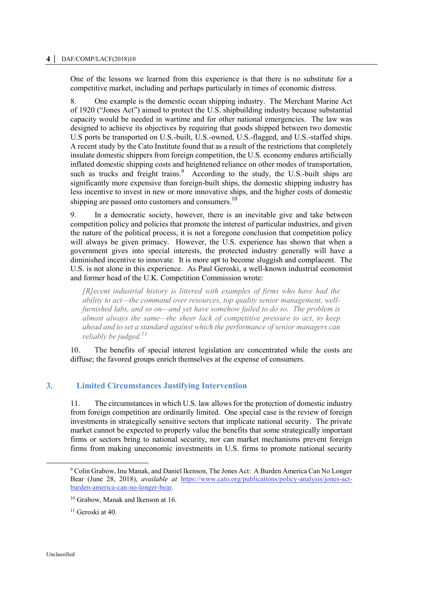#### **4 │** DAF/COMP/LACF(2018)10

One of the lessons we learned from this experience is that there is no substitute for a competitive market, including and perhaps particularly in times of economic distress.

8. One example is the domestic ocean shipping industry. The Merchant Marine Act of 1920 ("Jones Act") aimed to protect the U.S. shipbuilding industry because substantial capacity would be needed in wartime and for other national emergencies. The law was designed to achieve its objectives by requiring that goods shipped between two domestic U.S ports be transported on U.S.-built, U.S.-owned, U.S.-flagged, and U.S.-staffed ships. A recent study by the Cato Institute found that as a result of the restrictions that completely insulate domestic shippers from foreign competition, the U.S. economy endures artificially inflated domestic shipping costs and heightened reliance on other modes of transportation, such as trucks and freight trains.<sup>9</sup> According to the study, the U.S.-built ships are significantly more expensive than foreign-built ships, the domestic shipping industry has less incentive to invest in new or more innovative ships, and the higher costs of domestic shipping are passed onto customers and consumers.<sup>10</sup>

9. In a democratic society, however, there is an inevitable give and take between competition policy and policies that promote the interest of particular industries, and given the nature of the political process, it is not a foregone conclusion that competition policy will always be given primacy. However, the U.S. experience has shown that when a government gives into special interests, the protected industry generally will have a diminished incentive to innovate. It is more apt to become sluggish and complacent. The U.S. is not alone in this experience. As Paul Geroski, a well-known industrial economist and former head of the U.K. Competition Commission wrote:

*[R]ecent industrial history is littered with examples of firms who have had the ability to act—the command over resources, top quality senior management, wellfurnished labs, and so on—and yet have somehow failed to do so. The problem is almost always the same—the sheer lack of competitive pressure to act, to keep ahead and to set a standard against which the performance of senior managers can reliably be judged.<sup>11</sup>*

10. The benefits of special interest legislation are concentrated while the costs are diffuse; the favored groups enrich themselves at the expense of consumers.

# **3. Limited Circumstances Justifying Intervention**

11. The circumstances in which U.S. law allows for the protection of domestic industry from foreign competition are ordinarily limited. One special case is the review of foreign investments in strategically sensitive sectors that implicate national security. The private market cannot be expected to properly value the benefits that some strategically important firms or sectors bring to national security, nor can market mechanisms prevent foreign firms from making uneconomic investments in U.S. firms to promote national security

<sup>9</sup> Colin Grabow, Inu Manak, and Daniel Ikenson, The Jones Act: A Burden America Can No Longer Bear (June 28, 2018), *available at* [https://www.cato.org/publications/policy-analysis/jones-act](https://www.cato.org/publications/policy-analysis/jones-act-burden-america-can-no-longer-bear)[burden-america-can-no-longer-bear.](https://www.cato.org/publications/policy-analysis/jones-act-burden-america-can-no-longer-bear)

<sup>&</sup>lt;sup>10</sup> Grabow, Manak and Ikenson at 16.

 $11$  Geroski at 40.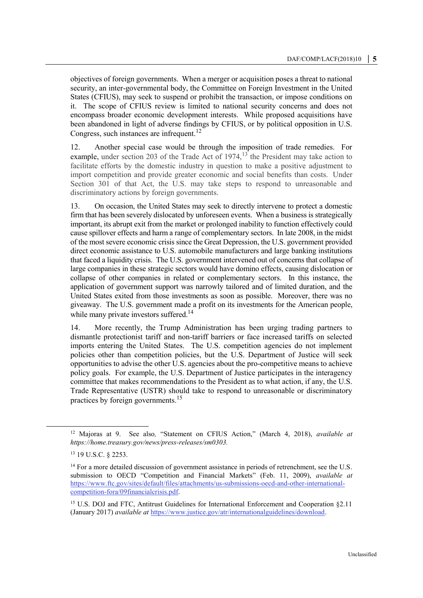objectives of foreign governments. When a merger or acquisition poses a threat to national security, an inter-governmental body, the Committee on Foreign Investment in the United States (CFIUS), may seek to suspend or prohibit the transaction, or impose conditions on it. The scope of CFIUS review is limited to national security concerns and does not encompass broader economic development interests. While proposed acquisitions have been abandoned in light of adverse findings by CFIUS, or by political opposition in U.S. Congress, such instances are infrequent.<sup>12</sup>

12. Another special case would be through the imposition of trade remedies. For example, under section 203 of the Trade Act of  $1974$ ,  $13$  the President may take action to facilitate efforts by the domestic industry in question to make a positive adjustment to import competition and provide greater economic and social benefits than costs. Under Section 301 of that Act, the U.S. may take steps to respond to unreasonable and discriminatory actions by foreign governments.

13. On occasion, the United States may seek to directly intervene to protect a domestic firm that has been severely dislocated by unforeseen events. When a business is strategically important, its abrupt exit from the market or prolonged inability to function effectively could cause spillover effects and harm a range of complementary sectors. In late 2008, in the midst of the most severe economic crisis since the Great Depression, the U.S. government provided direct economic assistance to U.S. automobile manufacturers and large banking institutions that faced a liquidity crisis. The U.S. government intervened out of concerns that collapse of large companies in these strategic sectors would have domino effects, causing dislocation or collapse of other companies in related or complementary sectors. In this instance, the application of government support was narrowly tailored and of limited duration, and the United States exited from those investments as soon as possible. Moreover, there was no giveaway. The U.S. government made a profit on its investments for the American people, while many private investors suffered.<sup>14</sup>

14. More recently, the Trump Administration has been urging trading partners to dismantle protectionist tariff and non-tariff barriers or face increased tariffs on selected imports entering the United States. The U.S. competition agencies do not implement policies other than competition policies, but the U.S. Department of Justice will seek opportunities to advise the other U.S. agencies about the pro-competitive means to achieve policy goals. For example, the U.S. Department of Justice participates in the interagency committee that makes recommendations to the President as to what action, if any, the U.S. Trade Representative (USTR) should take to respond to unreasonable or discriminatory practices by foreign governments.<sup>15</sup>

<sup>12</sup> Majoras at 9. See also*,* "Statement on CFIUS Action," (March 4, 2018), *available at https://home.treasury.gov/news/press-releases/sm0303.*

<sup>13</sup> 19 U.S.C. § 2253.

<sup>&</sup>lt;sup>14</sup> For a more detailed discussion of government assistance in periods of retrenchment, see the U.S. submission to OECD "Competition and Financial Markets" (Feb. 11, 2009), *available at* [https://www.ftc.gov/sites/default/files/attachments/us-submissions-oecd-and-other-international](https://www.ftc.gov/sites/default/files/attachments/us-submissions-oecd-and-other-international-competition-fora/09financialcrisis.pdf)[competition-fora/09financialcrisis.pdf.](https://www.ftc.gov/sites/default/files/attachments/us-submissions-oecd-and-other-international-competition-fora/09financialcrisis.pdf)

<sup>15</sup> U.S. DOJ and FTC, Antitrust Guidelines for International Enforcement and Cooperation §2.11 (January 2017) *available at* [https://www.justice.gov/atr/internationalguidelines/download.](https://www.justice.gov/atr/internationalguidelines/download)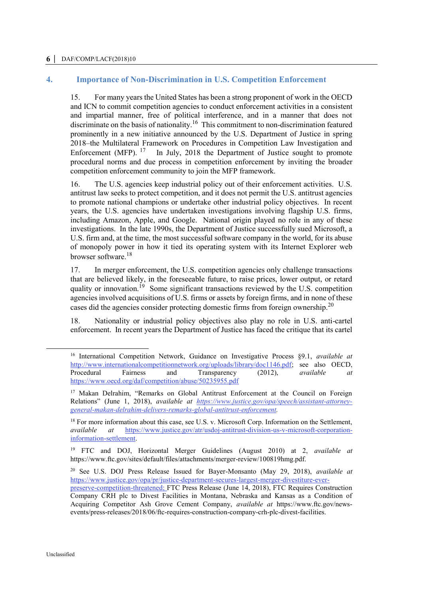#### **6 │** DAF/COMP/LACF(2018)10

## **4. Importance of Non-Discrimination in U.S. Competition Enforcement**

15. For many years the United States has been a strong proponent of work in the OECD and ICN to commit competition agencies to conduct enforcement activities in a consistent and impartial manner, free of political interference, and in a manner that does not discriminate on the basis of nationality.<sup>16</sup> This commitment to non-discrimination featured prominently in a new initiative announced by the U.S. Department of Justice in spring 2018–the Multilateral Framework on Procedures in Competition Law Investigation and Enforcement (MFP). <sup>17</sup> In July, 2018 the Department of Justice sought to promote procedural norms and due process in competition enforcement by inviting the broader competition enforcement community to join the MFP framework.

16. The U.S. agencies keep industrial policy out of their enforcement activities. U.S. antitrust law seeks to protect competition, and it does not permit the U.S. antitrust agencies to promote national champions or undertake other industrial policy objectives. In recent years, the U.S. agencies have undertaken investigations involving flagship U.S. firms, including Amazon, Apple, and Google. National origin played no role in any of these investigations. In the late 1990s, the Department of Justice successfully sued Microsoft, a U.S. firm and, at the time, the most successful software company in the world, for its abuse of monopoly power in how it tied its operating system with its Internet Explorer web browser software.<sup>18</sup>

17. In merger enforcement, the U.S. competition agencies only challenge transactions that are believed likely, in the foreseeable future, to raise prices, lower output, or retard quality or innovation.<sup>19</sup> Some significant transactions reviewed by the U.S. competition agencies involved acquisitions of U.S. firms or assets by foreign firms, and in none of these cases did the agencies consider protecting domestic firms from foreign ownership.<sup>20</sup>

18. Nationality or industrial policy objectives also play no role in U.S. anti-cartel enforcement. In recent years the Department of Justice has faced the critique that its cartel

<sup>16</sup> International Competition Network, Guidance on Investigative Process §9.1, *available at*  [http://www.internationalcompetitionnetwork.org/uploads/library/doc1146.pdf;](http://www.internationalcompetitionnetwork.org/uploads/library/doc1146.pdf) see also OECD, Procedural Fairness and Transparency (2012), *available at*  <https://www.oecd.org/daf/competition/abuse/50235955.pdf>

<sup>&</sup>lt;sup>17</sup> Makan Delrahim, "Remarks on Global Antitrust Enforcement at the Council on Foreign Relations" (June 1, 2018), *available at [https://www.justice.gov/opa/speech/assistant-attorney](https://www.justice.gov/opa/speech/assistant-attorney-general-makan-delrahim-delivers-remarks-global-antitrust-enforcement)[general-makan-delrahim-delivers-remarks-global-antitrust-enforcement.](https://www.justice.gov/opa/speech/assistant-attorney-general-makan-delrahim-delivers-remarks-global-antitrust-enforcement)* 

<sup>&</sup>lt;sup>18</sup> For more information about this case, see U.S. v. Microsoft Corp. Information on the Settlement, *available at* [https://www.justice.gov/atr/usdoj-antitrust-division-us-v-microsoft-corporation](https://www.justice.gov/atr/usdoj-antitrust-division-us-v-microsoft-corporation-information-settlement)[information-settlement.](https://www.justice.gov/atr/usdoj-antitrust-division-us-v-microsoft-corporation-information-settlement)

<sup>19</sup> FTC and DOJ, Horizontal Merger Guidelines (August 2010) at 2, *available at* https://www.ftc.gov/sites/default/files/attachments/merger-review/100819hmg.pdf.

<sup>20</sup> See U.S. DOJ Press Release Issued for Bayer-Monsanto (May 29, 2018), *available at* [https://www.justice.gov/opa/pr/justice-department-secures-largest-merger-divestiture-ever-](https://www.justice.gov/opa/pr/justice-department-secures-largest-merger-divestiture-ever-preserve-competition-threatened)

[preserve-competition-threatened;](https://www.justice.gov/opa/pr/justice-department-secures-largest-merger-divestiture-ever-preserve-competition-threatened) FTC Press Release (June 14, 2018), FTC Requires Construction Company CRH plc to Divest Facilities in Montana, Nebraska and Kansas as a Condition of Acquiring Competitor Ash Grove Cement Company, *available at* https://www.ftc.gov/newsevents/press-releases/2018/06/ftc-requires-construction-company-crh-plc-divest-facilities.